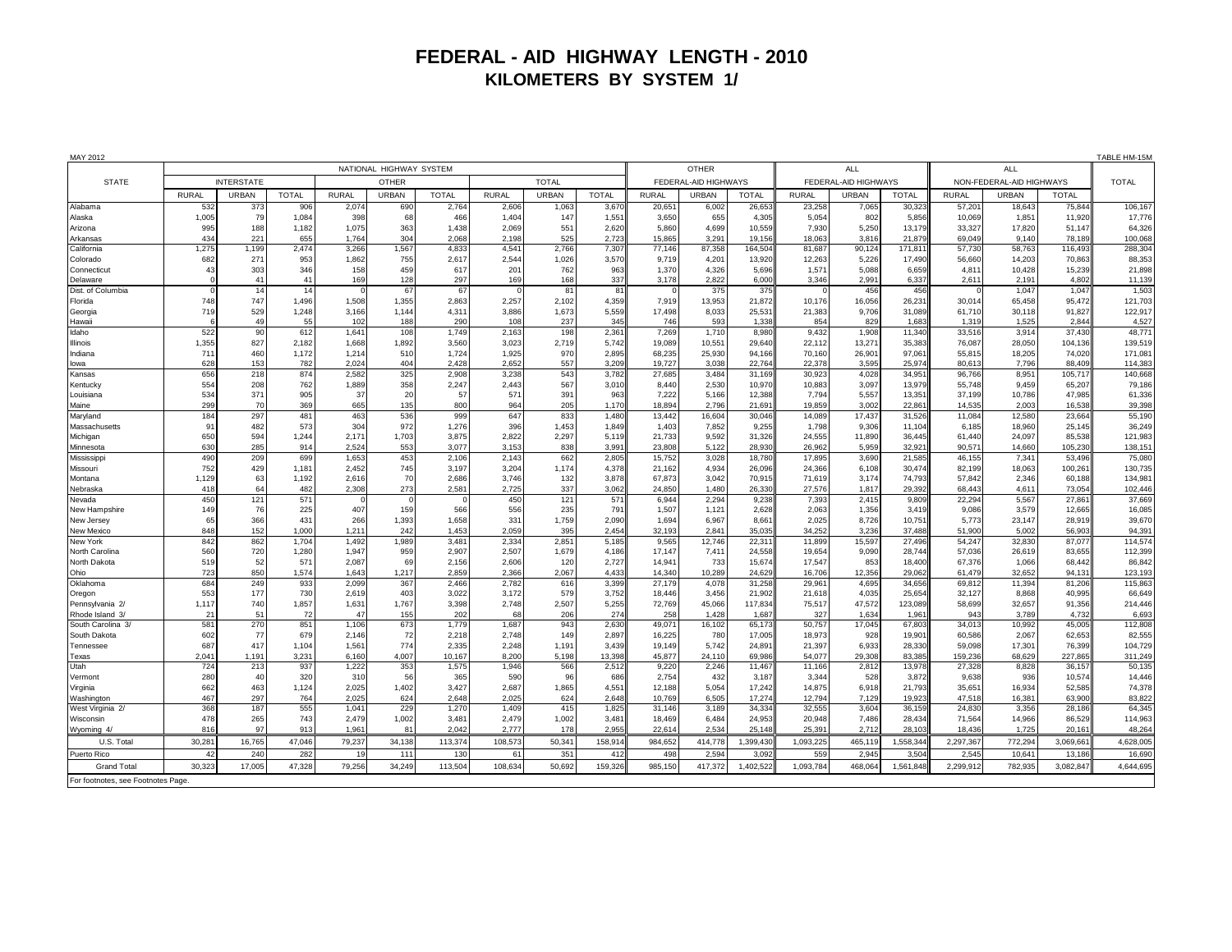## **FEDERAL - AID HIGHWAY LENGTH - 2010 KILOMETERS BY SYSTEM 1/**

| MAY 2012                           |                         |                        |                |                |              |                |                      |              |                |                            |                 |                  |                          | TABLE HM-15M    |                  |                  |                 |                   |                   |
|------------------------------------|-------------------------|------------------------|----------------|----------------|--------------|----------------|----------------------|--------------|----------------|----------------------------|-----------------|------------------|--------------------------|-----------------|------------------|------------------|-----------------|-------------------|-------------------|
|                                    | NATIONAL HIGHWAY SYSTEM |                        |                |                |              |                |                      |              |                | <b>OTHER</b><br><b>ALL</b> |                 |                  |                          |                 | <b>ALL</b>       |                  |                 |                   |                   |
| <b>STATE</b>                       | <b>INTERSTATE</b>       |                        | <b>OTHER</b>   |                | <b>TOTAL</b> |                | FEDERAL-AID HIGHWAYS |              |                | FEDERAL-AID HIGHWAYS       |                 |                  | NON-FEDERAL-AID HIGHWAYS |                 |                  | <b>TOTAL</b>     |                 |                   |                   |
|                                    | <b>RURAL</b>            | <b>URBAN</b>           | <b>TOTAL</b>   | <b>RURAL</b>   | <b>URBAN</b> | <b>TOTAL</b>   | <b>RURAL</b>         | URBAN        | <b>TOTAL</b>   | <b>RURA</b>                | <b>URBAN</b>    | <b>TOTAL</b>     | <b>RURAL</b>             | URBAN           | <b>TOTAL</b>     | <b>RURAL</b>     | URBAN           | <b>TOTAL</b>      |                   |
| Alabama                            | 53                      | 373                    | 906            | 2,074          | 690          | 2,764          | 2,606                | 1,063        | 3,67           | 20,65                      | 6,00            | 26,653           | 23,258                   | 7,065           | 30,32            | 57,20            | 18,64           | 75,844            | 106,167           |
| Alaska<br>Arizona                  | 1,005<br>995            | 79<br>188              | 1,084<br>1,182 | 398<br>1,075   | 68<br>363    | 466<br>1,438   | 1,404<br>2,069       | 147<br>551   | 1,551<br>2,620 | 3,650<br>5,860             | 655<br>4,699    | 4,305<br>10,559  | 5,054<br>7,930           | 802<br>5,250    | 5,856<br>13,179  | 10,069<br>33,327 | 1,85<br>17,820  | 11,920<br>51.147  | 17,776<br>64,326  |
| Arkansas                           | 434                     | 221                    | 655            | 1,764          | 304          | 2.068          | 2.198                | 525          | 2,723          | 15,865                     | 3,291           | 19,156           | 18,063                   | 3,816           | 21,879           | 69.049           | 9.140           | 78,189            | 100,068           |
| California                         | 1,275                   | 1,199                  | 2,474          | 3,266          | 1,567        | 4,833          | 4,541                | 2,766        | 7,307          | 77,146                     | 87,358          | 164,504          | 81,687                   | 90,124          | 171,81           | 57,730           | 58,763          | 116,493           | 288,304           |
| Colorado                           | 682                     | 27'                    | 953            | 1,862          | 755          | 2,617          | 2,544                | 1,026        | 3,570          | 9,719                      | 4,201           | 13,920           | 12,263                   | 5,226           | 17,490           | 56,660           | 14,203          | 70,863            | 88,353            |
| Connecticut                        | 43                      | 303                    | 346            | 158            | 459          | 617            | 201                  | 762          | 963            | 1.370                      | 4,326           | 5,696            | 1,571                    | 5.088           | 6,659            | 4,811            | 10,428          | 15,239            | 21,898            |
| Delaware                           |                         | 41                     | 41             | 169            | 128          | 297            | 169                  | 168          | 337            | 3,178                      | 2,822           | 6,000            | 3,346                    | 2,991           | 6,337            | 2,611            | 2,19            | 4.802             | 11,139            |
| Dist. of Columbia                  | 748                     | 14<br>747              | 14<br>1,496    | 1,508          | 67<br>1,355  | 67<br>2,863    | 2,257                | 81<br>2,102  | 81<br>4,359    |                            | 375             | 375<br>21,872    |                          | 456<br>16,056   | 456<br>26,231    | 30,014           | 1,047<br>65,458 | 1.047             | 1,503<br>121,703  |
| Florida<br>Georgia                 | 719                     | 529                    | 1,248          | 3.166          | 1.144        | 4.311          | 3,886                | 1,673        | 5,559          | 7,919<br>17,498            | 13,953<br>8,033 | 25,531           | 10,176<br>21,383         | 9.706           | 31,089           | 61.710           | 30.118          | 95,472<br>91.827  | 122.917           |
| Hawaii                             |                         | 49                     | 55             | 102            | 188          | 290            | 108                  | 237          | 345            | 746                        | 593             | 1,338            | 854                      | 829             | 1,683            | 1,319            | 1,525           | 2,844             | 4,527             |
| Idaho                              | 522                     | 90                     | 612            | 1,641          | 108          | 1,749          | 2,163                | 198          | 2,361          | 7,269                      | 1,710           | 8,980            | 9,432                    | 1,908           | 11,340           | 33,516           | 3,914           | 37,430            | 48,771            |
| Illinois                           | 1,355                   | 827                    | 2,182          | 1,668          | 1,892        | 3,560          | 3,023                | 2,719        | 5,742          | 19,089                     | 10,551          | 29,640           | 22,112                   | 13,271          | 35,383           | 76,087           | 28,050          | 104,136           | 139,519           |
| Indiana                            | 711                     | 460                    | 1,172          | 1,214          | 510          | 1,724          | 1,925                | 970          | 2,895          | 68,235                     | 25,930          | 94.166           | 70,160                   | 26,901          | 97,061           | 55,815           | 18,205          | 74,020            | 171,081           |
| lowa                               | 628                     | 153                    | 782            | 2,024          | 404          | 2,428          | 2.652                | 557          | 3.209          | 19.727                     | 3,038           | 22,764           | 22,378                   | 3,595           | 25,97            | 80.613           | 7,796           | 88,409            | 114,383           |
| Kansas                             | 656<br>554              | 218<br>208             | 874<br>762     | 2,582<br>1,889 | 325<br>358   | 2,908<br>2,247 | 3,238<br>2,443       | 543<br>567   | 3,782<br>3,010 | 27,685<br>8,440            | 3,484<br>2,530  | 31,169<br>10,970 | 30,923<br>10,883         | 4,028<br>3,097  | 34,95<br>13,979  | 96,766<br>55,748 | 8,95<br>9,459   | 105,717<br>65,207 | 140,668<br>79,186 |
| Kentucky<br>Louisiana              | 534                     | 371                    | 905            | 37             | 20           | 57             | 571                  | 391          | 963            | 7,222                      | 5,166           | 12,388           | 7,794                    | 5,557           | 13,351           | 37.199           | 10,786          | 47,985            | 61,336            |
| Maine                              | <b>299</b>              | 70                     | 369            | 665            | 135          | 800            | 964                  | 205          | 1.170          | 18.894                     | 2,796           | 21,69            | 19,859                   | 3.002           | 22.86            | 14,535           | 2.003           | 16.53             | 39,398            |
| Maryland                           | 184                     | 297                    | 481            | 463            | 536          | 999            | 647                  | 833          | 1,480          | 13,442                     | 16,604          | 30,046           | 14,089                   | 17,437          | 31,52            | 11,084           | 12,58           | 23,664            | 55,190            |
| Massachusetts                      | 91                      | 482                    | 573            | 304            | 972          | 1,276          | 396                  | 1,453        | 1,849          | 1.403                      | 7,852           | 9,255            | 1,798                    | 9.306           | 11.104           | 6,185            | 18,960          | 25,145            | 36,249            |
| Michigan                           | 650                     | 594                    | 1,244          | 2,171          | 1,703        | 3,875          | 2.822                | 2,297        | 5,119          | 21,733                     | 9,592           | 31,326           | 24,555                   | 11,890          | 36,445           | 61.440           | 24,097          | 85,538            | 121,983           |
| Minnesota<br>Mississipp            | 630<br>490              | 285<br>20 <sub>s</sub> | 914<br>699     | 2.524<br>1,653 | 553<br>453   | 3.077<br>2,106 | 3.153<br>2,143       | 838<br>662   | 3.991<br>2.80  | 23,808<br>15.752           | 5.122<br>3,028  | 28,930<br>18.780 | 26,962<br>17,895         | 5.959<br>3,690  | 32.921<br>21,585 | 90.571<br>46.155 | 14,660<br>7,34  | 105,23<br>53.49   | 138.151<br>75,080 |
| Missouri                           | 752                     | 429                    | 1,181          | 2,452          | 745          | 3,197          | 3,204                | 1,174        | 4,378          | 21,162                     | 4,934           | 26,096           | 24,366                   | 6,108           | 30,474           | 82,199           | 18,063          | 100,261           | 130,735           |
| Montana                            | 1,129                   | 63                     | 1,192          | 2,616          | 70           | 2,686          | 3,746                | 132          | 3,878          | 67,873                     | 3,042           | 70,915           | 71,619                   | 3,174           | 74,793           | 57,842           | 2,346           | 60,188            | 134,981           |
| Nebraska                           | 418                     | 64                     | 482            | 2,308          | 273          | 2,581          | 2,725                | 337          | 3,062          | 24,850                     | 1.480           | 26,330           | 27,576                   | 1.817           | 29,392           | 68,443           | 4,61            | 73,054            | 102,446           |
| Nevada                             | 450                     | 121                    | 571            |                |              |                | 450                  | 121          | 571            | 6,944                      | 2,294           | 9,238            | 7,393                    | 2,415           | 9,809            | 22,294           | 5,56            | 27,86             | 37,669            |
| New Hampshire                      | 149                     | 76                     | 225            | 407            | 159          | 566            | 556                  | 235          | 791            | 1,507                      | 1,121           | 2,628            | 2,063                    | 1,356           | 3,419            | 9,086            | 3,579           | 12,665            | 16,085            |
| New Jersey                         | 65                      | 366                    | 431            | 266            | 1,393        | 1,658          | 331                  | 1,759        | 2,090          | 1,694                      | 6,967           | 8,66             | 2,025                    | 8,726           | 10,751           | 5,773            | 23,147          | 28,919            | 39,670            |
| New Mexico<br>New York             | 848<br>842              | 152<br>862             | 1,000<br>1,704 | 1.211<br>1.492 | 242<br>1,989 | 1.453<br>3,481 | 2.059<br>2,334       | 395<br>2,851 | 2,454<br>5,185 | 32,193<br>9,565            | 2.841<br>12,746 | 35,035<br>22,31  | 34,252<br>11,899         | 3,236<br>15,597 | 37.488<br>27.496 | 51.900<br>54,247 | 5,002<br>32,83  | 56.903<br>87.07   | 94,391<br>114,574 |
| North Carolina                     | 560                     | 720                    | 1,280          | 1.947          | 959          | 2.907          | 2,507                | 1,679        | 4.186          | 17.147                     | 7,411           | 24.558           | 19,654                   | 9,090           | 28.744           | 57.036           | 26,619          | 83.655            | 112,399           |
| North Dakota                       | 519                     | 52                     | 571            | 2,087          | 69           | 2,156          | 2,606                | 120          | 2,727          | 14,941                     | 733             | 15,674           | 17,547                   | 853             | 18,400           | 67,376           | 1,066           | 68,442            | 86,842            |
| Ohio                               | 723                     | 850                    | 1,574          | 1,643          | 1,217        | 2.859          | 2,366                | 2,067        | 4,433          | 14.340                     | 10,289          | 24,629           | 16,706                   | 12,356          | 29,062           | 61.479           | 32,652          | 94.13             | 123,193           |
| Oklahoma                           | 684                     | 249                    | 933            | 2.099          | 367          | 2.466          | 2.782                | 616          | 3.399          | 27.179                     | 4,078           | 31,258           | 29,96                    | 4,695           | 34,656           | 69.812           | 11,394          | 81.206            | 115,863           |
| Oregon                             | 553                     | 177                    | 730            | 2,619          | 403          | 3,022          | 3,172                | 579          | 3,752          | 18.446                     | 3,456           | 21,902           | 21,618                   | 4,035           | 25,654           | 32,127           | 8,86            | 40,995            | 66,649            |
| Pennsylvania 2/<br>Rhode Island 3/ | 1,117<br>21             | 740<br>51              | 1,857<br>72    | 1,631<br>47    | 1,767<br>155 | 3,398<br>202   | 2,748<br>68          | 2,507<br>206 | 5,255<br>274   | 72,769<br>258              | 45,066<br>1,428 | 117,834<br>1,687 | 75,517<br>327            | 47,572<br>1,634 | 123,089<br>1,961 | 58,699<br>943    | 32,657<br>3,789 | 91,356<br>4,732   | 214,446<br>6,693  |
| South Carolina 3/                  | 581                     | 270                    | 851            | 1,106          | 673          | 1,779          | 1,687                | 943          | 2,630          | 49,07                      | 16,102          | 65,173           | 50,757                   | 17,045          | 67,803           | 34,013           | 10,992          | 45,005            | 112,808           |
| South Dakota                       | 602                     | 77                     | 679            | 2,146          | 72           | 2,218          | 2,748                | 149          | 2,897          | 16,225                     | 780             | 17,005           | 18,973                   | 928             | 19,901           | 60,586           | 2,067           | 62,653            | 82,555            |
| Tennessee                          | 687                     | 417                    | 1,104          | 1,561          | 774          | 2,335          | 2,248                | 1,191        | 3,439          | 19,149                     | 5,742           | 24,891           | 21,397                   | 6,933           | 28,330           | 59,098           | 17,30           | 76,399            | 104,729           |
| Texas                              | 2,04                    | 1,191                  | 3,231          | 6,160          | 4,007        | 10,167         | 8,200                | 5,198        | 13,398         | 45,877                     | 24,110          | 69,986           | 54,077                   | 29,308          | 83,385           | 159,236          | 68,629          | 227,865           | 311,249           |
| Utah                               | 724                     | 213                    | 937            | 1,222          | 353          | 1,575          | 1,946                | 566          | 2,51           | 9,220                      | 2,246           | 11.467           | 11,166                   | 2,812           | 13,978           | 27,328           | 8,82            | 36,157            | 50,135            |
| Vermont                            | 280<br>662              | 40<br>463              | 320<br>1,124   | 310<br>2,025   | 56<br>1,402  | 365<br>3.427   | 590<br>2,687         | 96<br>1,865  | 686<br>4,551   | 2,754<br>12.188            | 432<br>5,054    | 3,187<br>17.242  | 3,344                    | 528<br>6.918    | 3,872            | 9.638<br>35.651  | 936<br>16,93    | 10,574<br>52.585  | 14,446<br>74,378  |
| Virginia<br>Washington             | 467                     | 297                    | 764            | 2,025          | 624          | 2,648          | 2,025                | 624          | 2,648          | 10,769                     | 6,505           | 17,274           | 14,875<br>12,794         | 7,129           | 21,793<br>19,923 | 47,518           | 16,38           | 63,900            | 83,822            |
| West Virginia 2/                   | 368                     | 187                    | 555            | 1,041          | 229          | 1,27           | 1,409                | 415          | 1,82           | 31.146                     | 3,189           | 34,334           | 32.555                   | 3,604           | 36,15            | 24,830           | 3,356           | 28,186            | 64,345            |
| Wisconsin                          | 478                     | 265                    | 743            | 2.479          | 1,002        | 3.481          | 2,479                | 1,002        | 3.481          | 18.469                     | 6,484           | 24,953           | 20,948                   | 7.486           | 28.434           | 71.564           | 14,966          | 86.529            | 114.963           |
| Wyoming 4                          | 816                     | 97                     | 913            | 1.961          | 81           | 2.042          | 2.777                | 178          | 2.955          | 22.614                     | 2.534           | 25.148           | 25.391                   | 2.712           | 28.103           | 18.436           | 1.725           | 20.16             | 48,264            |
| U.S. Total                         | 30,281                  | 16,765                 | 47,046         | 79,237         | 34.138       | 113,374        | 108,573              | 50,341       | 158,914        | 984,652                    | 414,778         | 1,399,430        | 1,093,22                 | 465,119         | 1,558,34         | 2,297,367        | 772,294         | 3,069,66          | 4,628,005         |
| Puerto Rico                        | 42                      | 240                    | 282            | 1 <sub>c</sub> | 111          | 130            | 61                   | 351          | 41             | 498                        | 2.594           | 3,09             | 559                      | 2.945           | 3.50             | 2.545            | 10,64           | 13.18             | 16,690            |
| <b>Grand Total</b>                 | 30.323                  | 17,005                 | 47,328         | 79,256         | 34.249       | 113,504        | 108,634              | 50.692       | 159,32         | 985.150                    | 417,372         | 1,402,522        | 1,093,784                | 468.064         | 1,561,848        | 2,299,912        | 782,93          | 3.082.84          | 4.644.695         |
| For footnotes, see Footnotes Page  |                         |                        |                |                |              |                |                      |              |                |                            |                 |                  |                          |                 |                  |                  |                 |                   |                   |